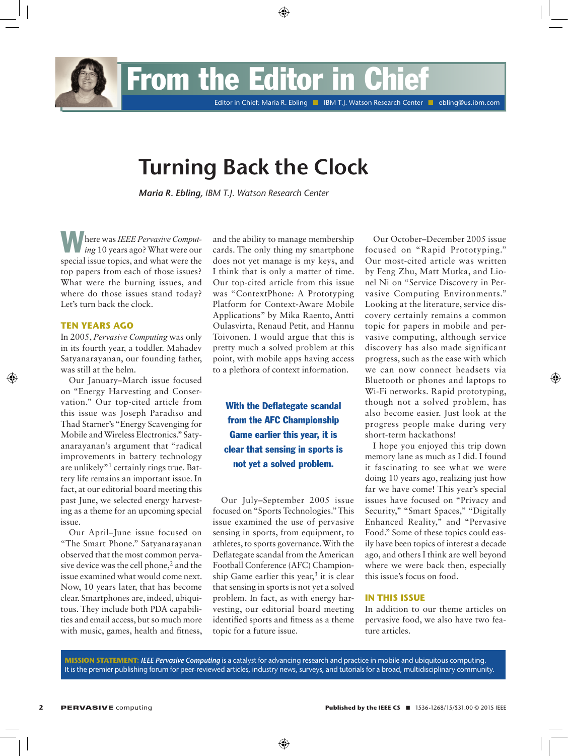From the Editor i

Editor in Chief: Maria R. Ebling **N IBM T.J. Watson Research Center N ebling@us.ibm.com** 

# **Turning Back the Clock**

*Maria R. Ebling, IBM T.J. Watson Research Center*

Where was *IEEE Pervasive Computing* 10 years ago? What were our special issue topics, and what were the top papers from each of those issues? What were the burning issues, and where do those issues stand today? Let's turn back the clock.

### **Ten Years Ago**

In 2005, *Pervasive Computing* was only in its fourth year, a toddler. Mahadev Satyanarayanan, our founding father, was still at the helm.

Our January–March issue focused on "Energy Harvesting and Conservation." Our top-cited article from this issue was Joseph Paradiso and Thad Starner's "Energy Scavenging for Mobile and Wireless Electronics." Satyanarayanan's argument that "radical improvements in battery technology are unlikely"1 certainly rings true. Battery life remains an important issue. In fact, at our editorial board meeting this past June, we selected energy harvesting as a theme for an upcoming special issue.

Our April–June issue focused on "The Smart Phone." Satyanarayanan observed that the most common pervasive device was the cell phone,<sup>2</sup> and the issue examined what would come next. Now, 10 years later, that has become clear. Smartphones are, indeed, ubiquitous. They include both PDA capabilities and email access, but so much more with music, games, health and fitness,

and the ability to manage membership cards. The only thing my smartphone does not yet manage is my keys, and I think that is only a matter of time. Our top-cited article from this issue was "ContextPhone: A Prototyping Platform for Context-Aware Mobile Applications" by Mika Raento, Antti Oulasvirta, Renaud Petit, and Hannu Toivonen. I would argue that this is pretty much a solved problem at this point, with mobile apps having access to a plethora of context information.

With the Deflategate scandal from the AFC Championship Game earlier this year, it is clear that sensing in sports is not yet a solved problem.

Our July–September 2005 issue focused on "Sports Technologies." This issue examined the use of pervasive sensing in sports, from equipment, to athletes, to sports governance. With the Deflategate scandal from the American Football Conference (AFC) Championship Game earlier this year, $3$  it is clear that sensing in sports is not yet a solved problem. In fact, as with energy harvesting, our editorial board meeting identified sports and fitness as a theme topic for a future issue.

Our October–December 2005 issue focused on "Rapid Prototyping." Our most-cited article was written by Feng Zhu, Matt Mutka, and Lionel Ni on "Service Discovery in Pervasive Computing Environments." Looking at the literature, service discovery certainly remains a common topic for papers in mobile and pervasive computing, although service discovery has also made significant progress, such as the ease with which we can now connect headsets via Bluetooth or phones and laptops to Wi-Fi networks. Rapid prototyping, though not a solved problem, has also become easier. Just look at the progress people make during very short-term hackathons!

I hope you enjoyed this trip down memory lane as much as I did. I found it fascinating to see what we were doing 10 years ago, realizing just how far we have come! This year's special issues have focused on "Privacy and Security," "Smart Spaces," "Digitally Enhanced Reality," and "Pervasive Food." Some of these topics could easily have been topics of interest a decade ago, and others I think are well beyond where we were back then, especially this issue's focus on food.

### **In This Issue**

In addition to our theme articles on pervasive food, we also have two feature articles.

**Mission Statement:** *IEEE Pervasive Computing* is a catalyst for advancing research and practice in mobile and ubiquitous computing. It is the premier publishing forum for peer-reviewed articles, industry news, surveys, and tutorials for a broad, multidisciplinary community.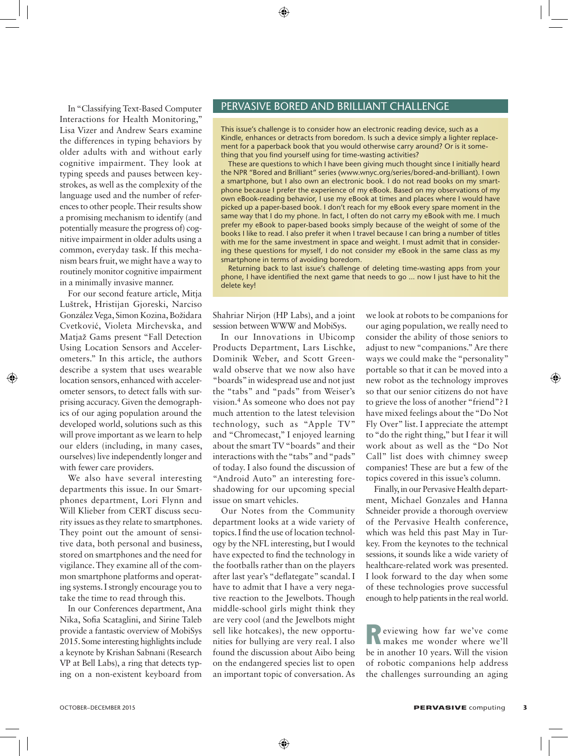In "Classifying Text-Based Computer Interactions for Health Monitoring," Lisa Vizer and Andrew Sears examine the differences in typing behaviors by older adults with and without early cognitive impairment. They look at typing speeds and pauses between keystrokes, as well as the complexity of the language used and the number of references to other people. Their results show a promising mechanism to identify (and potentially measure the progress of) cognitive impairment in older adults using a common, everyday task. If this mechanism bears fruit, we might have a way to routinely monitor cognitive impairment in a minimally invasive manner.

For our second feature article, Mitja Luštrek, Hristijan Gjoreski, Narciso González Vega, Simon Kozina, Božidara Cvetković, Violeta Mirchevska, and Matjaž Gams present "Fall Detection Using Location Sensors and Accelerometers." In this article, the authors describe a system that uses wearable location sensors, enhanced with accelerometer sensors, to detect falls with surprising accuracy. Given the demographics of our aging population around the developed world, solutions such as this will prove important as we learn to help our elders (including, in many cases, ourselves) live independently longer and with fewer care providers.

We also have several interesting departments this issue. In our Smartphones department, Lori Flynn and Will Klieber from CERT discuss security issues as they relate to smartphones. They point out the amount of sensitive data, both personal and business, stored on smartphones and the need for vigilance. They examine all of the common smartphone platforms and operating systems. I strongly encourage you to take the time to read through this.

In our Conferences department, Ana Nika, Sofia Scataglini, and Sirine Taleb provide a fantastic overview of MobiSys 2015. Some interesting highlights include a keynote by Krishan Sabnani (Research VP at Bell Labs), a ring that detects typing on a non-existent keyboard from

# Pervasive Bored and Brilliant Challenge

This issue's challenge is to consider how an electronic reading device, such as a Kindle, enhances or detracts from boredom. Is such a device simply a lighter replacement for a paperback book that you would otherwise carry around? Or is it something that you find yourself using for time-wasting activities?

These are questions to which I have been giving much thought since I initially heard the NPR "Bored and Brilliant" series (www.wnyc.org/series/bored-and-brilliant). I own a smartphone, but I also own an electronic book. I do not read books on my smartphone because I prefer the experience of my eBook. Based on my observations of my own eBook-reading behavior, I use my eBook at times and places where I would have picked up a paper-based book. I don't reach for my eBook every spare moment in the same way that I do my phone. In fact, I often do not carry my eBook with me. I much prefer my eBook to paper-based books simply because of the weight of some of the books I like to read. I also prefer it when I travel because I can bring a number of titles with me for the same investment in space and weight. I must admit that in considering these questions for myself, I do not consider my eBook in the same class as my smartphone in terms of avoiding boredom.

Returning back to last issue's challenge of deleting time-wasting apps from your phone, I have identified the next game that needs to go ... now I just have to hit the delete key!

Shahriar Nirjon (HP Labs), and a joint session between WWW and MobiSys.

In our Innovations in Ubicomp Products Department, Lars Lischke, Dominik Weber, and Scott Greenwald observe that we now also have "boards" in widespread use and not just the "tabs" and "pads" from Weiser's vision.4 As someone who does not pay much attention to the latest television technology, such as "Apple TV" and "Chromecast," I enjoyed learning about the smart TV "boards" and their interactions with the "tabs" and "pads" of today. I also found the discussion of "Android Auto" an interesting foreshadowing for our upcoming special issue on smart vehicles.

Our Notes from the Community department looks at a wide variety of topics. I find the use of location technology by the NFL interesting, but I would have expected to find the technology in the footballs rather than on the players after last year's "deflategate" scandal. I have to admit that I have a very negative reaction to the Jewelbots. Though middle-school girls might think they are very cool (and the Jewelbots might sell like hotcakes), the new opportunities for bullying are very real. I also found the discussion about Aibo being on the endangered species list to open an important topic of conversation. As we look at robots to be companions for our aging population, we really need to consider the ability of those seniors to adjust to new "companions." Are there ways we could make the "personality" portable so that it can be moved into a new robot as the technology improves so that our senior citizens do not have to grieve the loss of another "friend"? I have mixed feelings about the "Do Not Fly Over" list. I appreciate the attempt to "do the right thing," but I fear it will work about as well as the "Do Not Call" list does with chimney sweep companies! These are but a few of the topics covered in this issue's column.

Finally, in our Pervasive Health department, Michael Gonzales and Hanna Schneider provide a thorough overview of the Pervasive Health conference, which was held this past May in Turkey. From the keynotes to the technical sessions, it sounds like a wide variety of healthcare-related work was presented. I look forward to the day when some of these technologies prove successful enough to help patients in the real world.

Reviewing how far we've come makes me wonder where we'll be in another 10 years. Will the vision of robotic companions help address the challenges surrounding an aging